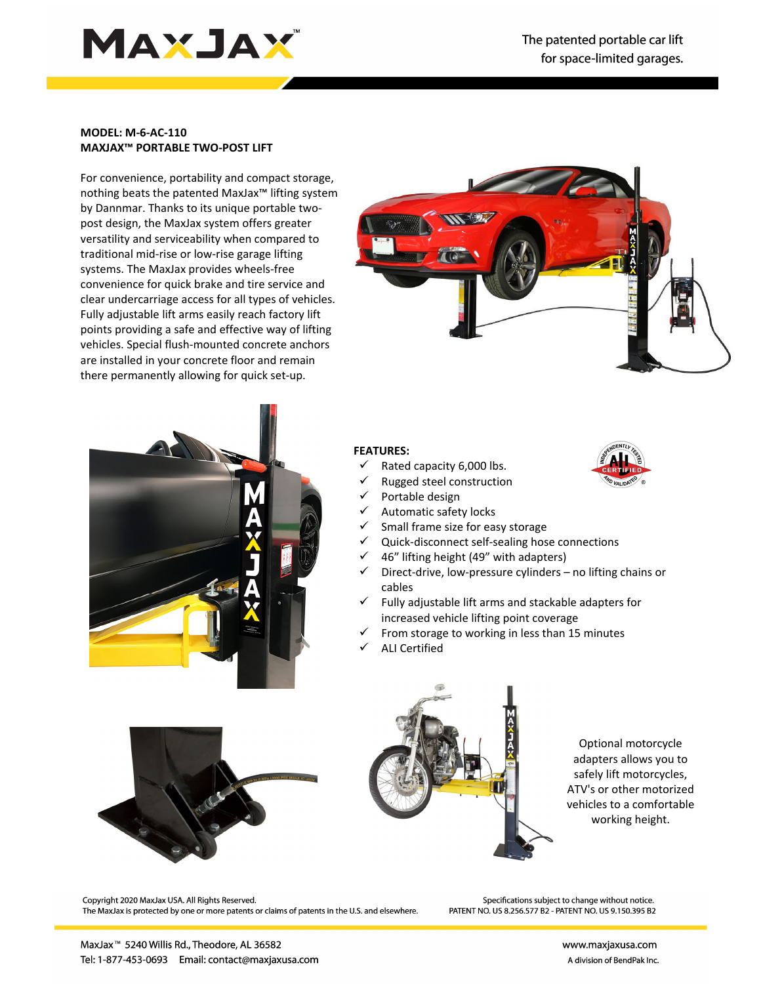

## **MODEL: M‐6‐AC‐110 MAXJAX™ PORTABLE TWO‐POST LIFT**

For convenience, portability and compact storage, nothing beats the patented MaxJax™ lifting system by Dannmar. Thanks to its unique portable two‐ post design, the MaxJax system offers greater versatility and serviceability when compared to traditional mid‐rise or low‐rise garage lifting systems. The MaxJax provides wheels‐free convenience for quick brake and tire service and clear undercarriage access for all types of vehicles. Fully adjustable lift arms easily reach factory lift points providing a safe and effective way of lifting vehicles. Special flush‐mounted concrete anchors are installed in your concrete floor and remain there permanently allowing for quick set‐up.





## **FEATURES:**

- Rated capacity 6,000 lbs.
	- Rugged steel construction
- Portable design
- Automatic safety locks
- Small frame size for easy storage
- Quick‐disconnect self‐sealing hose connections
- $\checkmark$  46" lifting height (49" with adapters)
- Direct-drive, low-pressure cylinders no lifting chains or cables
- $\checkmark$  Fully adjustable lift arms and stackable adapters for increased vehicle lifting point coverage
- From storage to working in less than 15 minutes
- ALI Certified





Optional motorcycle adapters allows you to safely lift motorcycles, ATV's or other motorized vehicles to a comfortable working height.

Copyright 2020 MaxJax USA. All Rights Reserved. The MaxJax is protected by one or more patents or claims of patents in the U.S. and elsewhere.

Specifications subject to change without notice. PATENT NO. US 8.256.577 B2 - PATENT NO. US 9.150.395 B2



www.maxjaxusa.com A division of BendPak Inc.